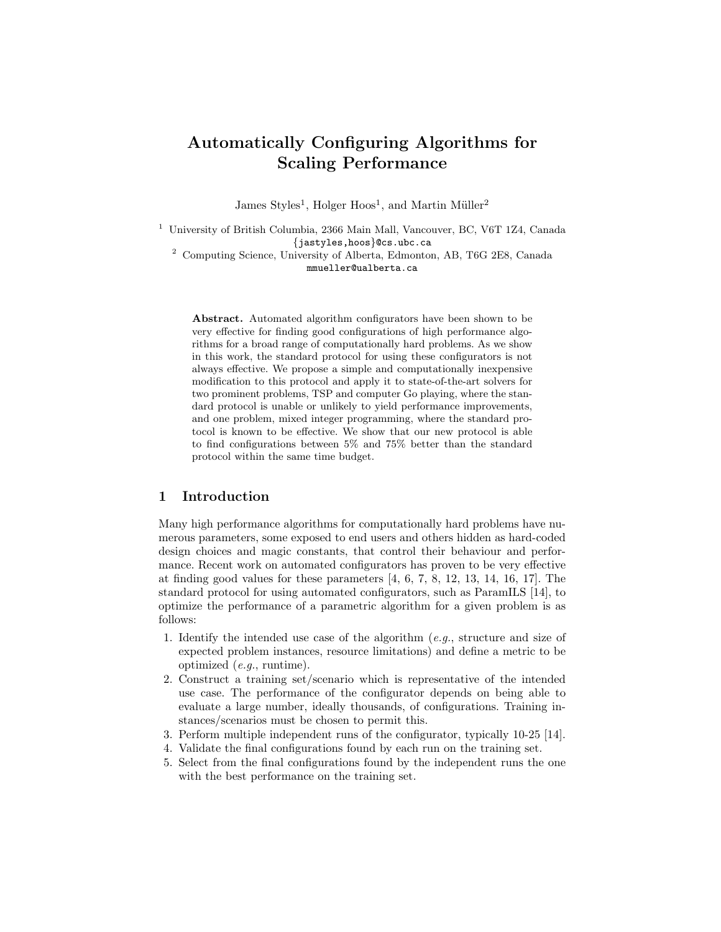## Automatically Configuring Algorithms for Scaling Performance

James Styles<sup>1</sup>, Holger Hoos<sup>1</sup>, and Martin Müller<sup>2</sup>

<sup>1</sup> University of British Columbia, 2366 Main Mall, Vancouver, BC, V6T 1Z4, Canada {jastyles,hoos}@cs.ubc.ca

<sup>2</sup> Computing Science, University of Alberta, Edmonton, AB, T6G 2E8, Canada mmueller@ualberta.ca

Abstract. Automated algorithm configurators have been shown to be very effective for finding good configurations of high performance algorithms for a broad range of computationally hard problems. As we show in this work, the standard protocol for using these configurators is not always effective. We propose a simple and computationally inexpensive modification to this protocol and apply it to state-of-the-art solvers for two prominent problems, TSP and computer Go playing, where the standard protocol is unable or unlikely to yield performance improvements, and one problem, mixed integer programming, where the standard protocol is known to be effective. We show that our new protocol is able to find configurations between 5% and 75% better than the standard protocol within the same time budget.

#### 1 Introduction

Many high performance algorithms for computationally hard problems have numerous parameters, some exposed to end users and others hidden as hard-coded design choices and magic constants, that control their behaviour and performance. Recent work on automated configurators has proven to be very effective at finding good values for these parameters  $[4, 6, 7, 8, 12, 13, 14, 16, 17]$ . The standard protocol for using automated configurators, such as ParamILS [14], to optimize the performance of a parametric algorithm for a given problem is as follows:

- 1. Identify the intended use case of the algorithm (e.g., structure and size of expected problem instances, resource limitations) and define a metric to be optimized (e.g., runtime).
- 2. Construct a training set/scenario which is representative of the intended use case. The performance of the configurator depends on being able to evaluate a large number, ideally thousands, of configurations. Training instances/scenarios must be chosen to permit this.
- 3. Perform multiple independent runs of the configurator, typically 10-25 [14].
- 4. Validate the final configurations found by each run on the training set.
- 5. Select from the final configurations found by the independent runs the one with the best performance on the training set.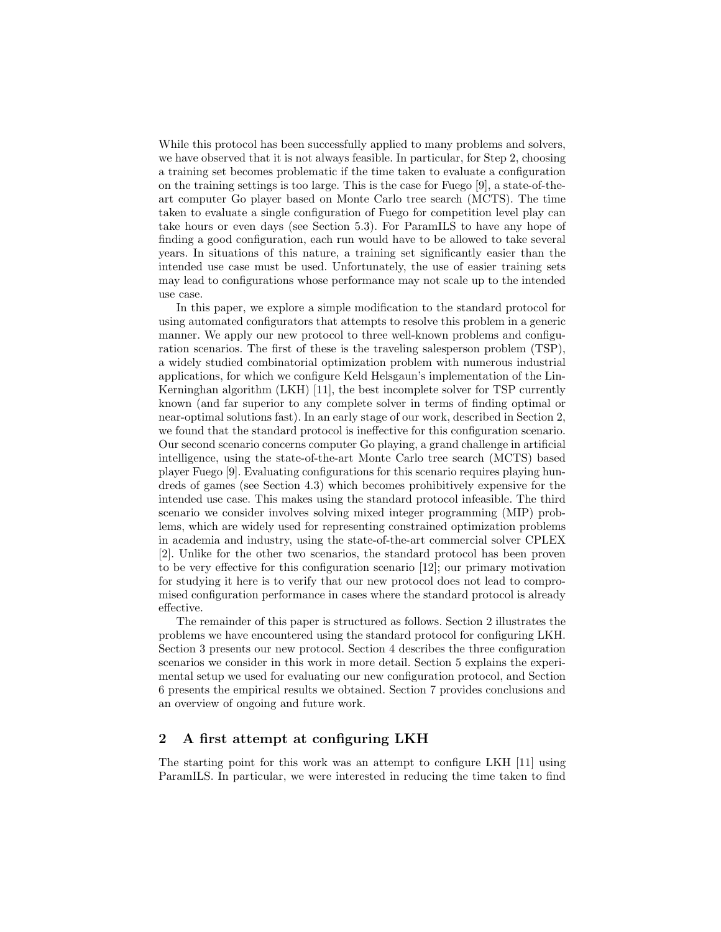While this protocol has been successfully applied to many problems and solvers, we have observed that it is not always feasible. In particular, for Step 2, choosing a training set becomes problematic if the time taken to evaluate a configuration on the training settings is too large. This is the case for Fuego [9], a state-of-theart computer Go player based on Monte Carlo tree search (MCTS). The time taken to evaluate a single configuration of Fuego for competition level play can take hours or even days (see Section 5.3). For ParamILS to have any hope of finding a good configuration, each run would have to be allowed to take several years. In situations of this nature, a training set significantly easier than the intended use case must be used. Unfortunately, the use of easier training sets may lead to configurations whose performance may not scale up to the intended use case.

In this paper, we explore a simple modification to the standard protocol for using automated configurators that attempts to resolve this problem in a generic manner. We apply our new protocol to three well-known problems and configuration scenarios. The first of these is the traveling salesperson problem (TSP), a widely studied combinatorial optimization problem with numerous industrial applications, for which we configure Keld Helsgaun's implementation of the Lin-Kerninghan algorithm (LKH) [11], the best incomplete solver for TSP currently known (and far superior to any complete solver in terms of finding optimal or near-optimal solutions fast). In an early stage of our work, described in Section 2, we found that the standard protocol is ineffective for this configuration scenario. Our second scenario concerns computer Go playing, a grand challenge in artificial intelligence, using the state-of-the-art Monte Carlo tree search (MCTS) based player Fuego [9]. Evaluating configurations for this scenario requires playing hundreds of games (see Section 4.3) which becomes prohibitively expensive for the intended use case. This makes using the standard protocol infeasible. The third scenario we consider involves solving mixed integer programming (MIP) problems, which are widely used for representing constrained optimization problems in academia and industry, using the state-of-the-art commercial solver CPLEX [2]. Unlike for the other two scenarios, the standard protocol has been proven to be very effective for this configuration scenario [12]; our primary motivation for studying it here is to verify that our new protocol does not lead to compromised configuration performance in cases where the standard protocol is already effective.

The remainder of this paper is structured as follows. Section 2 illustrates the problems we have encountered using the standard protocol for configuring LKH. Section 3 presents our new protocol. Section 4 describes the three configuration scenarios we consider in this work in more detail. Section 5 explains the experimental setup we used for evaluating our new configuration protocol, and Section 6 presents the empirical results we obtained. Section 7 provides conclusions and an overview of ongoing and future work.

## 2 A first attempt at configuring LKH

The starting point for this work was an attempt to configure LKH [11] using ParamILS. In particular, we were interested in reducing the time taken to find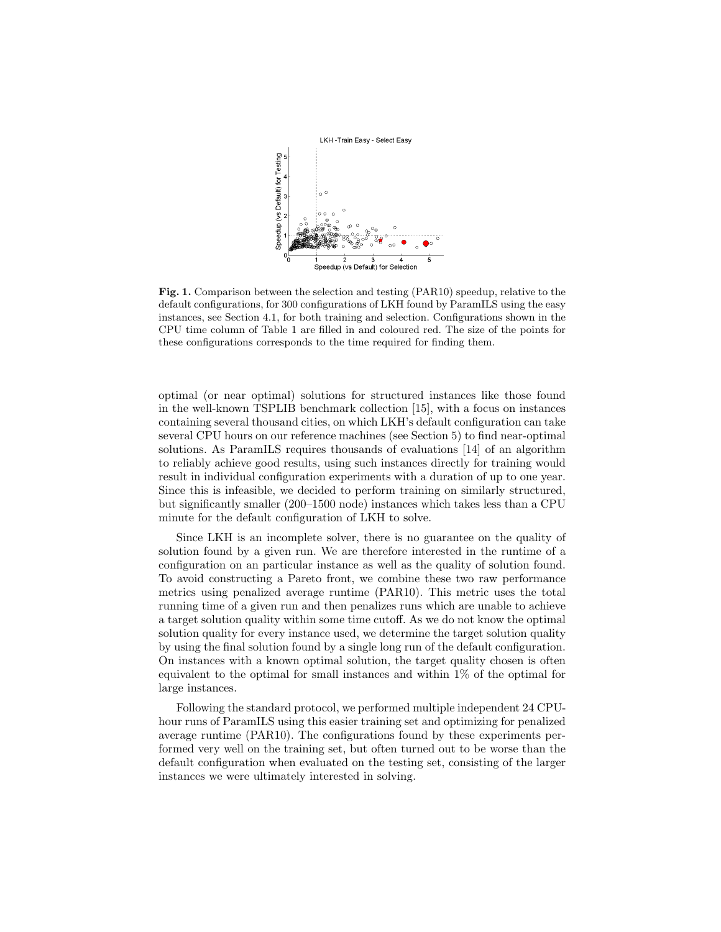

Fig. 1. Comparison between the selection and testing (PAR10) speedup, relative to the default configurations, for 300 configurations of LKH found by ParamILS using the easy instances, see Section 4.1, for both training and selection. Configurations shown in the CPU time column of Table 1 are filled in and coloured red. The size of the points for these configurations corresponds to the time required for finding them.

optimal (or near optimal) solutions for structured instances like those found in the well-known TSPLIB benchmark collection [15], with a focus on instances containing several thousand cities, on which LKH's default configuration can take several CPU hours on our reference machines (see Section 5) to find near-optimal solutions. As ParamILS requires thousands of evaluations [14] of an algorithm to reliably achieve good results, using such instances directly for training would result in individual configuration experiments with a duration of up to one year. Since this is infeasible, we decided to perform training on similarly structured, but significantly smaller (200–1500 node) instances which takes less than a CPU minute for the default configuration of LKH to solve.

Since LKH is an incomplete solver, there is no guarantee on the quality of solution found by a given run. We are therefore interested in the runtime of a configuration on an particular instance as well as the quality of solution found. To avoid constructing a Pareto front, we combine these two raw performance metrics using penalized average runtime (PAR10). This metric uses the total running time of a given run and then penalizes runs which are unable to achieve a target solution quality within some time cutoff. As we do not know the optimal solution quality for every instance used, we determine the target solution quality by using the final solution found by a single long run of the default configuration. On instances with a known optimal solution, the target quality chosen is often equivalent to the optimal for small instances and within 1% of the optimal for large instances.

Following the standard protocol, we performed multiple independent 24 CPUhour runs of ParamILS using this easier training set and optimizing for penalized average runtime (PAR10). The configurations found by these experiments performed very well on the training set, but often turned out to be worse than the default configuration when evaluated on the testing set, consisting of the larger instances we were ultimately interested in solving.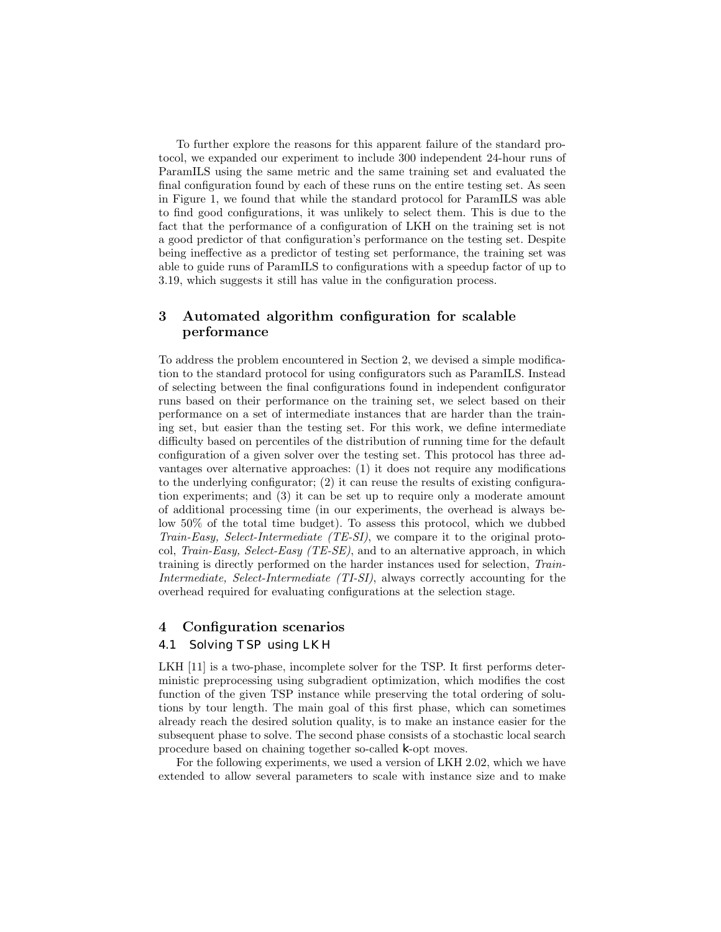To further explore the reasons for this apparent failure of the standard protocol, we expanded our experiment to include 300 independent 24-hour runs of ParamILS using the same metric and the same training set and evaluated the final configuration found by each of these runs on the entire testing set. As seen in Figure 1, we found that while the standard protocol for ParamILS was able to find good configurations, it was unlikely to select them. This is due to the fact that the performance of a configuration of LKH on the training set is not a good predictor of that configuration's performance on the testing set. Despite being ineffective as a predictor of testing set performance, the training set was able to guide runs of ParamILS to configurations with a speedup factor of up to 3.19, which suggests it still has value in the configuration process.

### 3 Automated algorithm configuration for scalable performance

To address the problem encountered in Section 2, we devised a simple modification to the standard protocol for using configurators such as ParamILS. Instead of selecting between the final configurations found in independent configurator runs based on their performance on the training set, we select based on their performance on a set of intermediate instances that are harder than the training set, but easier than the testing set. For this work, we define intermediate difficulty based on percentiles of the distribution of running time for the default configuration of a given solver over the testing set. This protocol has three advantages over alternative approaches: (1) it does not require any modifications to the underlying configurator; (2) it can reuse the results of existing configuration experiments; and (3) it can be set up to require only a moderate amount of additional processing time (in our experiments, the overhead is always below 50% of the total time budget). To assess this protocol, which we dubbed Train-Easy, Select-Intermediate (TE-SI), we compare it to the original protocol, Train-Easy, Select-Easy (TE-SE), and to an alternative approach, in which training is directly performed on the harder instances used for selection, Train-Intermediate, Select-Intermediate (TI-SI), always correctly accounting for the overhead required for evaluating configurations at the selection stage.

# 4 Configuration scenarios

## 4.1 Solving TSP using LKH

LKH [11] is a two-phase, incomplete solver for the TSP. It first performs deterministic preprocessing using subgradient optimization, which modifies the cost function of the given TSP instance while preserving the total ordering of solutions by tour length. The main goal of this first phase, which can sometimes already reach the desired solution quality, is to make an instance easier for the subsequent phase to solve. The second phase consists of a stochastic local search procedure based on chaining together so-called k-opt moves.

For the following experiments, we used a version of LKH 2.02, which we have extended to allow several parameters to scale with instance size and to make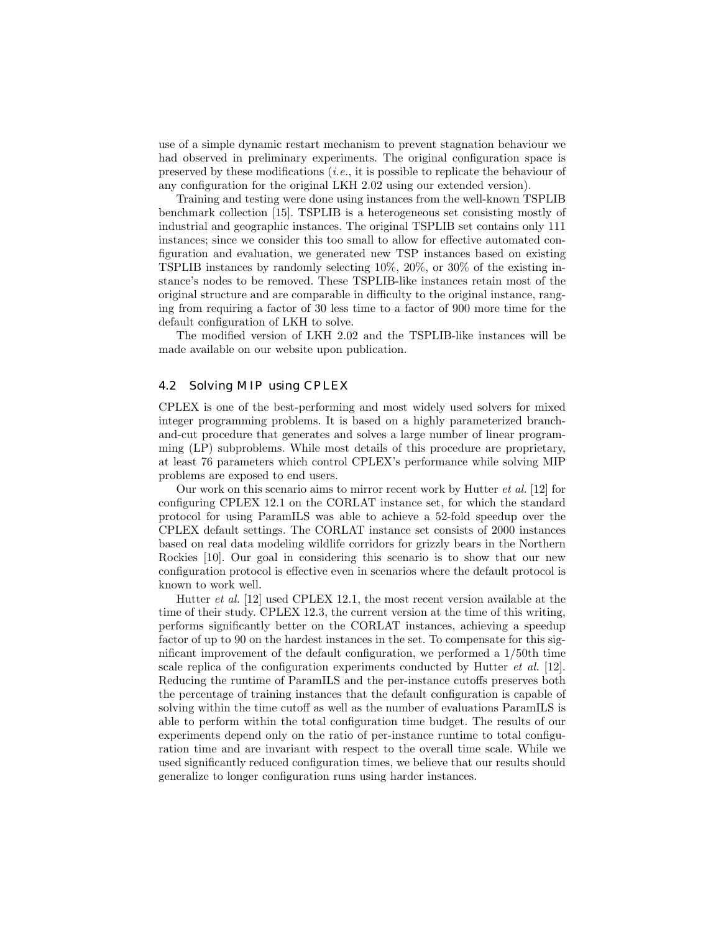use of a simple dynamic restart mechanism to prevent stagnation behaviour we had observed in preliminary experiments. The original configuration space is preserved by these modifications (i.e., it is possible to replicate the behaviour of any configuration for the original LKH 2.02 using our extended version).

Training and testing were done using instances from the well-known TSPLIB benchmark collection [15]. TSPLIB is a heterogeneous set consisting mostly of industrial and geographic instances. The original TSPLIB set contains only 111 instances; since we consider this too small to allow for effective automated configuration and evaluation, we generated new TSP instances based on existing TSPLIB instances by randomly selecting 10%, 20%, or 30% of the existing instance's nodes to be removed. These TSPLIB-like instances retain most of the original structure and are comparable in difficulty to the original instance, ranging from requiring a factor of 30 less time to a factor of 900 more time for the default configuration of LKH to solve.

The modified version of LKH 2.02 and the TSPLIB-like instances will be made available on our website upon publication.

#### 4.2 Solving MIP using CPLEX

CPLEX is one of the best-performing and most widely used solvers for mixed integer programming problems. It is based on a highly parameterized branchand-cut procedure that generates and solves a large number of linear programming (LP) subproblems. While most details of this procedure are proprietary, at least 76 parameters which control CPLEX's performance while solving MIP problems are exposed to end users.

Our work on this scenario aims to mirror recent work by Hutter et al. [12] for configuring CPLEX 12.1 on the CORLAT instance set, for which the standard protocol for using ParamILS was able to achieve a 52-fold speedup over the CPLEX default settings. The CORLAT instance set consists of 2000 instances based on real data modeling wildlife corridors for grizzly bears in the Northern Rockies [10]. Our goal in considering this scenario is to show that our new configuration protocol is effective even in scenarios where the default protocol is known to work well.

Hutter et al. [12] used CPLEX 12.1, the most recent version available at the time of their study. CPLEX 12.3, the current version at the time of this writing, performs significantly better on the CORLAT instances, achieving a speedup factor of up to 90 on the hardest instances in the set. To compensate for this significant improvement of the default configuration, we performed a 1/50th time scale replica of the configuration experiments conducted by Hutter *et al.* [12]. Reducing the runtime of ParamILS and the per-instance cutoffs preserves both the percentage of training instances that the default configuration is capable of solving within the time cutoff as well as the number of evaluations ParamILS is able to perform within the total configuration time budget. The results of our experiments depend only on the ratio of per-instance runtime to total configuration time and are invariant with respect to the overall time scale. While we used significantly reduced configuration times, we believe that our results should generalize to longer configuration runs using harder instances.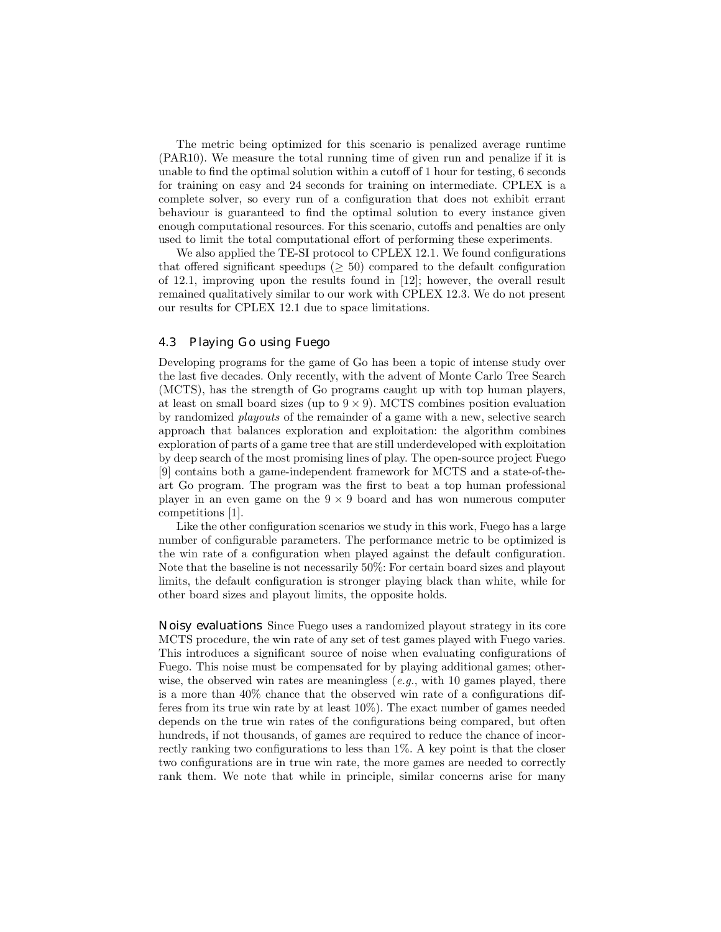The metric being optimized for this scenario is penalized average runtime (PAR10). We measure the total running time of given run and penalize if it is unable to find the optimal solution within a cutoff of 1 hour for testing, 6 seconds for training on easy and 24 seconds for training on intermediate. CPLEX is a complete solver, so every run of a configuration that does not exhibit errant behaviour is guaranteed to find the optimal solution to every instance given enough computational resources. For this scenario, cutoffs and penalties are only used to limit the total computational effort of performing these experiments.

We also applied the TE-SI protocol to CPLEX 12.1. We found configurations that offered significant speedups ( $\geq 50$ ) compared to the default configuration of 12.1, improving upon the results found in [12]; however, the overall result remained qualitatively similar to our work with CPLEX 12.3. We do not present our results for CPLEX 12.1 due to space limitations.

#### 4.3 Playing Go using Fuego

Developing programs for the game of Go has been a topic of intense study over the last five decades. Only recently, with the advent of Monte Carlo Tree Search (MCTS), has the strength of Go programs caught up with top human players, at least on small board sizes (up to  $9 \times 9$ ). MCTS combines position evaluation by randomized playouts of the remainder of a game with a new, selective search approach that balances exploration and exploitation: the algorithm combines exploration of parts of a game tree that are still underdeveloped with exploitation by deep search of the most promising lines of play. The open-source project Fuego [9] contains both a game-independent framework for MCTS and a state-of-theart Go program. The program was the first to beat a top human professional player in an even game on the  $9 \times 9$  board and has won numerous computer competitions [1].

Like the other configuration scenarios we study in this work, Fuego has a large number of configurable parameters. The performance metric to be optimized is the win rate of a configuration when played against the default configuration. Note that the baseline is not necessarily 50%: For certain board sizes and playout limits, the default configuration is stronger playing black than white, while for other board sizes and playout limits, the opposite holds.

Noisy evaluations Since Fuego uses a randomized playout strategy in its core MCTS procedure, the win rate of any set of test games played with Fuego varies. This introduces a significant source of noise when evaluating configurations of Fuego. This noise must be compensated for by playing additional games; otherwise, the observed win rates are meaningless  $(e.g., \text{ with } 10 \text{ games played, there})$ is a more than 40% chance that the observed win rate of a configurations differes from its true win rate by at least  $10\%$ ). The exact number of games needed depends on the true win rates of the configurations being compared, but often hundreds, if not thousands, of games are required to reduce the chance of incorrectly ranking two configurations to less than 1%. A key point is that the closer two configurations are in true win rate, the more games are needed to correctly rank them. We note that while in principle, similar concerns arise for many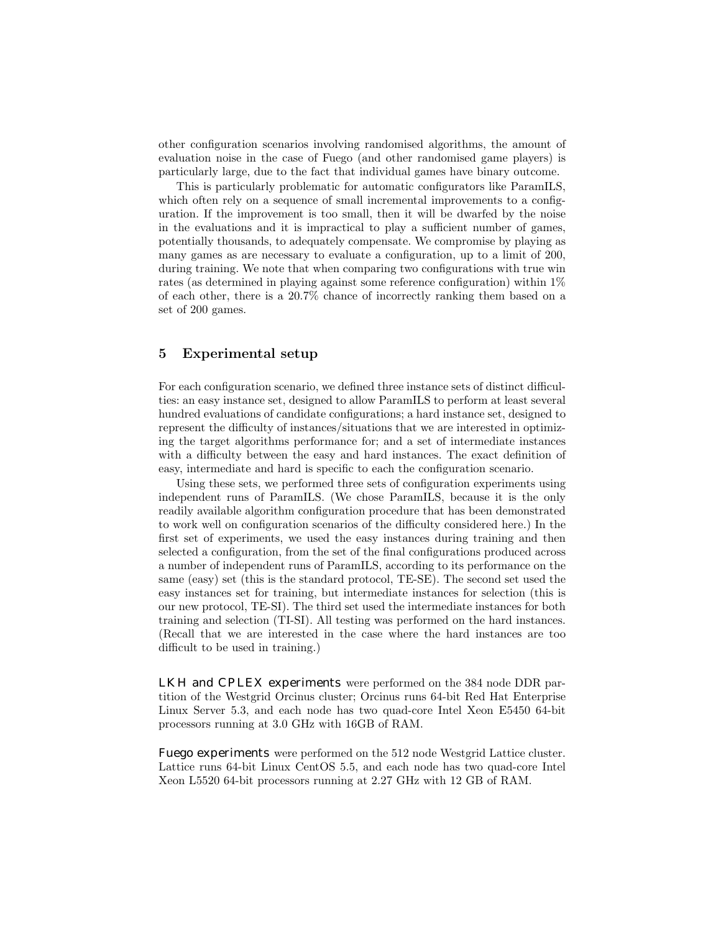other configuration scenarios involving randomised algorithms, the amount of evaluation noise in the case of Fuego (and other randomised game players) is particularly large, due to the fact that individual games have binary outcome.

This is particularly problematic for automatic configurators like ParamILS, which often rely on a sequence of small incremental improvements to a configuration. If the improvement is too small, then it will be dwarfed by the noise in the evaluations and it is impractical to play a sufficient number of games, potentially thousands, to adequately compensate. We compromise by playing as many games as are necessary to evaluate a configuration, up to a limit of 200, during training. We note that when comparing two configurations with true win rates (as determined in playing against some reference configuration) within 1% of each other, there is a 20.7% chance of incorrectly ranking them based on a set of 200 games.

#### 5 Experimental setup

For each configuration scenario, we defined three instance sets of distinct difficulties: an easy instance set, designed to allow ParamILS to perform at least several hundred evaluations of candidate configurations; a hard instance set, designed to represent the difficulty of instances/situations that we are interested in optimizing the target algorithms performance for; and a set of intermediate instances with a difficulty between the easy and hard instances. The exact definition of easy, intermediate and hard is specific to each the configuration scenario.

Using these sets, we performed three sets of configuration experiments using independent runs of ParamILS. (We chose ParamILS, because it is the only readily available algorithm configuration procedure that has been demonstrated to work well on configuration scenarios of the difficulty considered here.) In the first set of experiments, we used the easy instances during training and then selected a configuration, from the set of the final configurations produced across a number of independent runs of ParamILS, according to its performance on the same (easy) set (this is the standard protocol, TE-SE). The second set used the easy instances set for training, but intermediate instances for selection (this is our new protocol, TE-SI). The third set used the intermediate instances for both training and selection (TI-SI). All testing was performed on the hard instances. (Recall that we are interested in the case where the hard instances are too difficult to be used in training.)

LKH and CPLEX experiments were performed on the 384 node DDR partition of the Westgrid Orcinus cluster; Orcinus runs 64-bit Red Hat Enterprise Linux Server 5.3, and each node has two quad-core Intel Xeon E5450 64-bit processors running at 3.0 GHz with 16GB of RAM.

Fuego experiments were performed on the 512 node Westgrid Lattice cluster. Lattice runs 64-bit Linux CentOS 5.5, and each node has two quad-core Intel Xeon L5520 64-bit processors running at 2.27 GHz with 12 GB of RAM.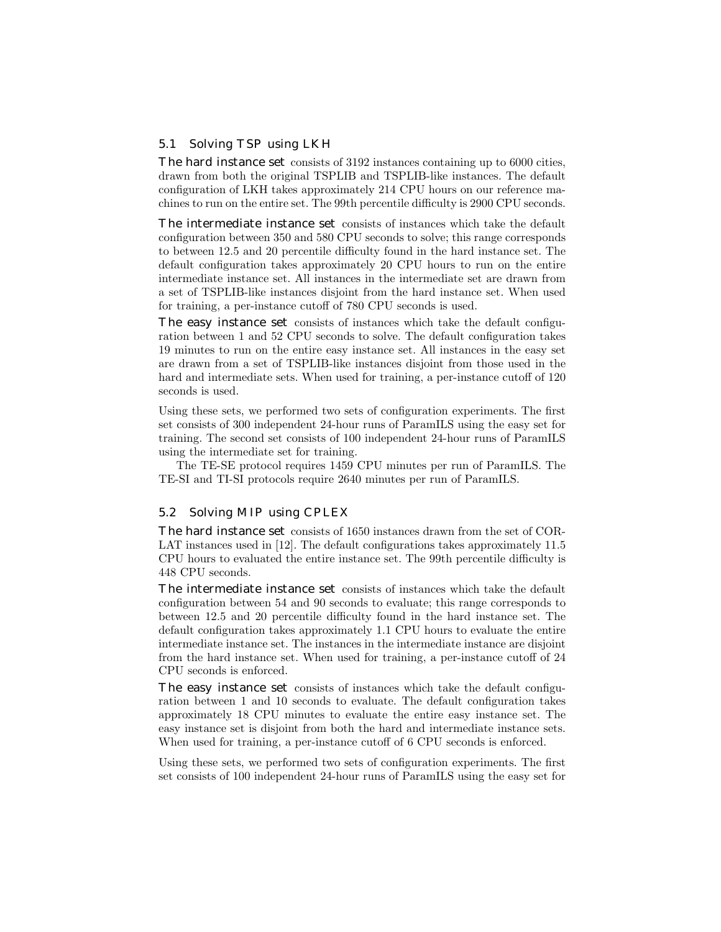#### 5.1 Solving TSP using LKH

The hard instance set consists of 3192 instances containing up to 6000 cities, drawn from both the original TSPLIB and TSPLIB-like instances. The default configuration of LKH takes approximately 214 CPU hours on our reference machines to run on the entire set. The 99th percentile difficulty is 2900 CPU seconds.

The intermediate instance set consists of instances which take the default configuration between 350 and 580 CPU seconds to solve; this range corresponds to between 12.5 and 20 percentile difficulty found in the hard instance set. The default configuration takes approximately 20 CPU hours to run on the entire intermediate instance set. All instances in the intermediate set are drawn from a set of TSPLIB-like instances disjoint from the hard instance set. When used for training, a per-instance cutoff of 780 CPU seconds is used.

The easy instance set consists of instances which take the default configuration between 1 and 52 CPU seconds to solve. The default configuration takes 19 minutes to run on the entire easy instance set. All instances in the easy set are drawn from a set of TSPLIB-like instances disjoint from those used in the hard and intermediate sets. When used for training, a per-instance cutoff of 120 seconds is used.

Using these sets, we performed two sets of configuration experiments. The first set consists of 300 independent 24-hour runs of ParamILS using the easy set for training. The second set consists of 100 independent 24-hour runs of ParamILS using the intermediate set for training.

The TE-SE protocol requires 1459 CPU minutes per run of ParamILS. The TE-SI and TI-SI protocols require 2640 minutes per run of ParamILS.

#### 5.2 Solving MIP using CPLEX

The hard instance set consists of 1650 instances drawn from the set of COR-LAT instances used in [12]. The default configurations takes approximately 11.5 CPU hours to evaluated the entire instance set. The 99th percentile difficulty is 448 CPU seconds.

The intermediate instance set consists of instances which take the default configuration between 54 and 90 seconds to evaluate; this range corresponds to between 12.5 and 20 percentile difficulty found in the hard instance set. The default configuration takes approximately 1.1 CPU hours to evaluate the entire intermediate instance set. The instances in the intermediate instance are disjoint from the hard instance set. When used for training, a per-instance cutoff of 24 CPU seconds is enforced.

The easy instance set consists of instances which take the default configuration between 1 and 10 seconds to evaluate. The default configuration takes approximately 18 CPU minutes to evaluate the entire easy instance set. The easy instance set is disjoint from both the hard and intermediate instance sets. When used for training, a per-instance cutoff of 6 CPU seconds is enforced.

Using these sets, we performed two sets of configuration experiments. The first set consists of 100 independent 24-hour runs of ParamILS using the easy set for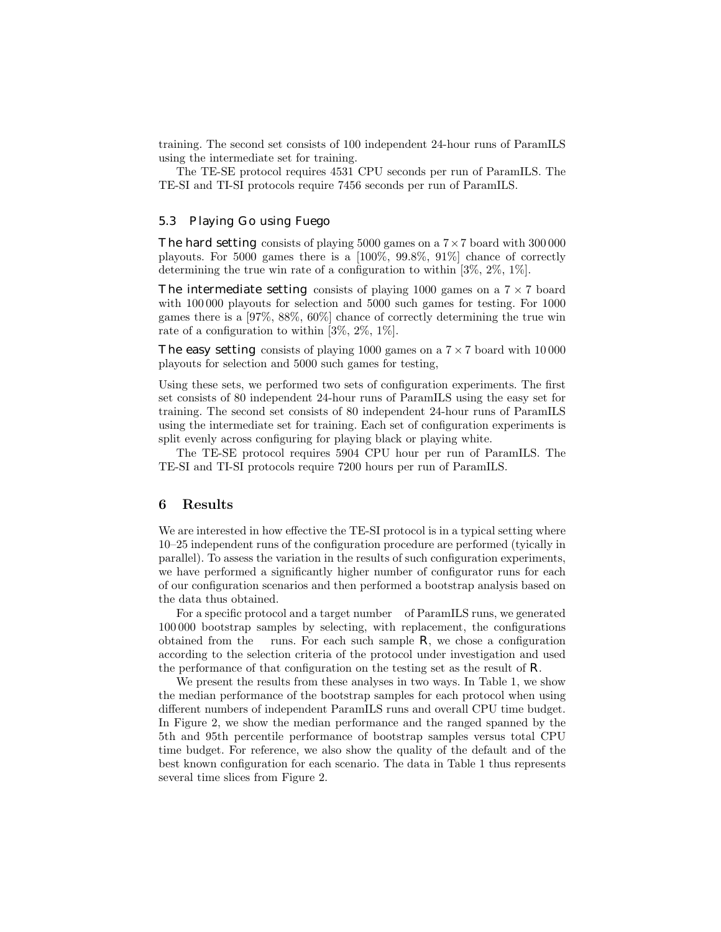training. The second set consists of 100 independent 24-hour runs of ParamILS using the intermediate set for training.

The TE-SE protocol requires 4531 CPU seconds per run of ParamILS. The TE-SI and TI-SI protocols require 7456 seconds per run of ParamILS.

#### 5.3 Playing Go using Fuego

The hard setting consists of playing 5000 games on a  $7 \times 7$  board with 300 000 playouts. For 5000 games there is a [100%, 99.8%, 91%] chance of correctly determining the true win rate of a configuration to within [3%, 2%, 1%].

The intermediate setting consists of playing 1000 games on a  $7 \times 7$  board with 100 000 playouts for selection and 5000 such games for testing. For 1000 games there is a [97%, 88%, 60%] chance of correctly determining the true win rate of a configuration to within [3%, 2%, 1%].

The easy setting consists of playing 1000 games on a  $7 \times 7$  board with 10000 playouts for selection and 5000 such games for testing,

Using these sets, we performed two sets of configuration experiments. The first set consists of 80 independent 24-hour runs of ParamILS using the easy set for training. The second set consists of 80 independent 24-hour runs of ParamILS using the intermediate set for training. Each set of configuration experiments is split evenly across configuring for playing black or playing white.

The TE-SE protocol requires 5904 CPU hour per run of ParamILS. The TE-SI and TI-SI protocols require 7200 hours per run of ParamILS.

#### 6 Results

We are interested in how effective the TE-SI protocol is in a typical setting where 10–25 independent runs of the configuration procedure are performed (tyically in parallel). To assess the variation in the results of such configuration experiments, we have performed a significantly higher number of configurator runs for each of our configuration scenarios and then performed a bootstrap analysis based on the data thus obtained.

For a specific protocol and a target number  $n$  of ParamILS runs, we generated 100 000 bootstrap samples by selecting, with replacement, the configurations obtained from the  $n$  runs. For each such sample  $R$ , we chose a configuration according to the selection criteria of the protocol under investigation and used the performance of that configuration on the testing set as the result of R.

We present the results from these analyses in two ways. In Table 1, we show the median performance of the bootstrap samples for each protocol when using different numbers of independent ParamILS runs and overall CPU time budget. In Figure 2, we show the median performance and the ranged spanned by the 5th and 95th percentile performance of bootstrap samples versus total CPU time budget. For reference, we also show the quality of the default and of the best known configuration for each scenario. The data in Table 1 thus represents several time slices from Figure 2.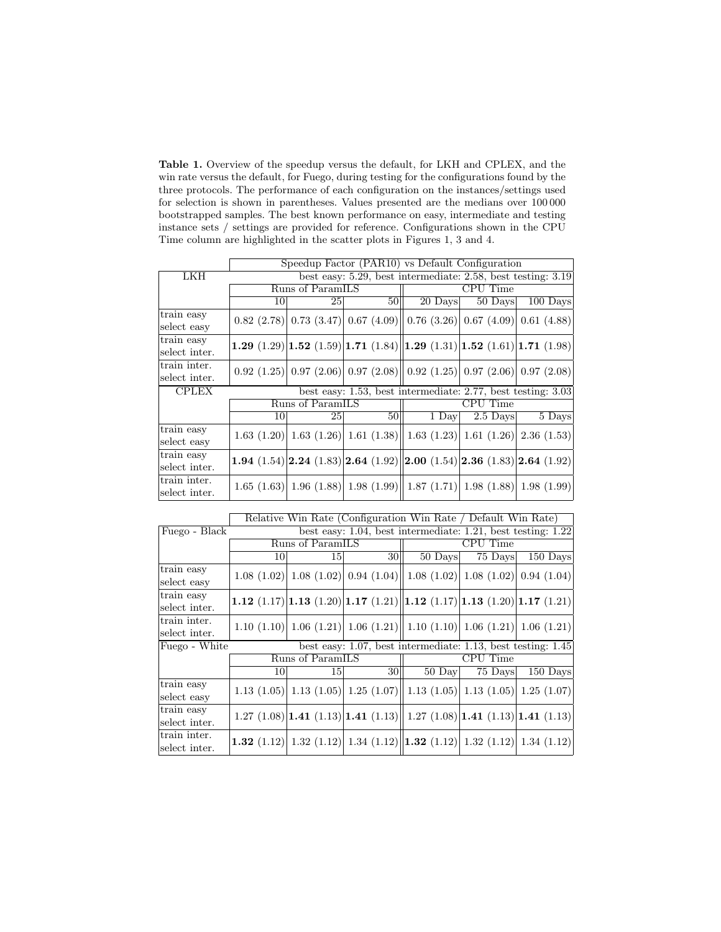Table 1. Overview of the speedup versus the default, for LKH and CPLEX, and the win rate versus the default, for Fuego, during testing for the configurations found by the three protocols. The performance of each configuration on the instances/settings used for selection is shown in parentheses. Values presented are the medians over 100 000 bootstrapped samples. The best known performance on easy, intermediate and testing instance sets / settings are provided for reference. Configurations shown in the CPU Time column are highlighted in the scatter plots in Figures 1, 3 and 4.

|               | Speedup Factor (PAR10) vs Default Configuration                      |    |                                                                                                                                                               |                                                                                     |                              |            |            |  |  |
|---------------|----------------------------------------------------------------------|----|---------------------------------------------------------------------------------------------------------------------------------------------------------------|-------------------------------------------------------------------------------------|------------------------------|------------|------------|--|--|
| <b>LKH</b>    | best easy: 5.29, best intermediate: 2.58, best testing: 3.19         |    |                                                                                                                                                               |                                                                                     |                              |            |            |  |  |
|               | Runs of ParamILS                                                     |    |                                                                                                                                                               |                                                                                     | CPU Time                     |            |            |  |  |
|               | 10                                                                   | 25 | 50 <sub>l</sub>                                                                                                                                               |                                                                                     | $\overline{20 \text{ Days}}$ | 50 Days    | $100$ Days |  |  |
| train easy    |                                                                      |    |                                                                                                                                                               | $0.82$ (2.78) $0.73$ (3.47) $0.67$ (4.09) $0.76$ (3.26) $0.67$ (4.09) $0.61$ (4.88) |                              |            |            |  |  |
| select easy   |                                                                      |    |                                                                                                                                                               |                                                                                     |                              |            |            |  |  |
| train easy    |                                                                      |    | 1.29 (1.29) 1.52 (1.59) 1.71 (1.84) 1.29 (1.31) 1.52 (1.61) 1.71 (1.98)                                                                                       |                                                                                     |                              |            |            |  |  |
| select inter. |                                                                      |    |                                                                                                                                                               |                                                                                     |                              |            |            |  |  |
| train inter.  |                                                                      |    | $(0.92 \ (1.25) \ 0.97 \ (2.06) \ 0.97 \ (2.08) \ 0.92 \ (1.25) \ 0.97 \ (2.06) \ 0.97 \ (2.08)$                                                              |                                                                                     |                              |            |            |  |  |
| select inter. |                                                                      |    |                                                                                                                                                               |                                                                                     |                              |            |            |  |  |
| <b>CPLEX</b>  | best easy: $1.53$ , best intermediate: $2.77$ , best testing: $3.03$ |    |                                                                                                                                                               |                                                                                     |                              |            |            |  |  |
|               | Runs of ParamILS                                                     |    |                                                                                                                                                               | CPU Time                                                                            |                              |            |            |  |  |
|               | 10                                                                   | 25 | 50 <sub>l</sub>                                                                                                                                               |                                                                                     | $1$ Day                      | $2.5$ Days | 5 Days     |  |  |
| train easy    | 1.63(1.20)                                                           |    | $1.63$ (1.26) 1.61 (1.38) 1.63 (1.23) 1.61 (1.26) 2.36 (1.53)                                                                                                 |                                                                                     |                              |            |            |  |  |
| select easy   |                                                                      |    |                                                                                                                                                               |                                                                                     |                              |            |            |  |  |
| train easy    |                                                                      |    | $\vert 1.94 \vert (1.54) \vert 2.24 \vert (1.83) \vert 2.64 \vert (1.92) \vert \vert 2.00 \vert (1.54) \vert 2.36 \vert (1.83) \vert 2.64 \vert (1.92) \vert$ |                                                                                     |                              |            |            |  |  |
| select inter. |                                                                      |    |                                                                                                                                                               |                                                                                     |                              |            |            |  |  |
| train inter.  |                                                                      |    | 1.65 $(1.63)$ 1.96 $(1.88)$ 1.98 $(1.99)$ 1.87 $(1.71)$ 1.98 $(1.88)$ 1.98 $(1.99)$                                                                           |                                                                                     |                              |            |            |  |  |
| select inter. |                                                                      |    |                                                                                                                                                               |                                                                                     |                              |            |            |  |  |

|                                                                                       | Relative Win Rate (Configuration Win Rate / Default Win Rate)        |                  |                 |                                                                                                                                                         |         |            |  |  |  |
|---------------------------------------------------------------------------------------|----------------------------------------------------------------------|------------------|-----------------|---------------------------------------------------------------------------------------------------------------------------------------------------------|---------|------------|--|--|--|
| Fuego - Black                                                                         | best easy: $1.04$ , best intermediate: $1.21$ , best testing: $1.22$ |                  |                 |                                                                                                                                                         |         |            |  |  |  |
|                                                                                       |                                                                      | Runs of ParamILS |                 | CPU Time                                                                                                                                                |         |            |  |  |  |
|                                                                                       | 10                                                                   | 15               | <b>30</b>       | $50$ Days                                                                                                                                               | 75 Days | 150 Days   |  |  |  |
| train easy                                                                            |                                                                      |                  |                 | $1.08(1.02)$ $1.08(1.02)$ $0.94(1.04)$ $1.08(1.02)$ $1.08(1.02)$ $0.94(1.04)$                                                                           |         |            |  |  |  |
| select easy                                                                           |                                                                      |                  |                 |                                                                                                                                                         |         |            |  |  |  |
| train easy                                                                            |                                                                      |                  |                 | $\vert 1.12 \vert (1.17) \vert 1.13 \vert (1.20) \vert 1.17 \vert (1.21) \vert 1.12 \vert (1.17) \vert 1.13 \vert (1.20) \vert 1.17 \vert (1.21) \vert$ |         |            |  |  |  |
| select inter.                                                                         |                                                                      |                  |                 |                                                                                                                                                         |         |            |  |  |  |
| train inter.                                                                          |                                                                      |                  |                 | 1.10 $(1.10)$ 1.06 $(1.21)$ 1.06 $(1.21)$ 1.10 $(1.10)$ 1.06 $(1.21)$ 1.06 $(1.21)$                                                                     |         |            |  |  |  |
| select inter.                                                                         |                                                                      |                  |                 |                                                                                                                                                         |         |            |  |  |  |
| best easy: $1.07$ , best intermediate: $1.13$ , best testing: $1.45$<br>Fuego - White |                                                                      |                  |                 |                                                                                                                                                         |         |            |  |  |  |
|                                                                                       | Runs of ParamILS                                                     |                  |                 | CPU Time                                                                                                                                                |         |            |  |  |  |
|                                                                                       | 10                                                                   | 15               | 30 <sup>1</sup> | $50$ Day                                                                                                                                                | 75 Days | $150$ Days |  |  |  |
| train easy                                                                            |                                                                      |                  |                 | 1.13 $(1.05)$ 1.13 $(1.05)$ 1.25 $(1.07)$ 1.13 $(1.05)$ 1.13 $(1.05)$ 1.25 $(1.07)$                                                                     |         |            |  |  |  |
| select easy                                                                           |                                                                      |                  |                 |                                                                                                                                                         |         |            |  |  |  |
| train easy                                                                            |                                                                      |                  |                 | 1.27 $(1.08)$ 1.41 $(1.13)$ 1.41 $(1.13)$ 1.27 $(1.08)$ 1.41 $(1.13)$ 1.41 $(1.13)$                                                                     |         |            |  |  |  |
| select inter.                                                                         |                                                                      |                  |                 |                                                                                                                                                         |         |            |  |  |  |
| train inter.                                                                          |                                                                      |                  |                 | <b>1.32</b> (1.12) 1.32 (1.12) 1.34 (1.12) <b>1.32</b> (1.12) 1.32 (1.12) 1.34 (1.12)                                                                   |         |            |  |  |  |
| select inter.                                                                         |                                                                      |                  |                 |                                                                                                                                                         |         |            |  |  |  |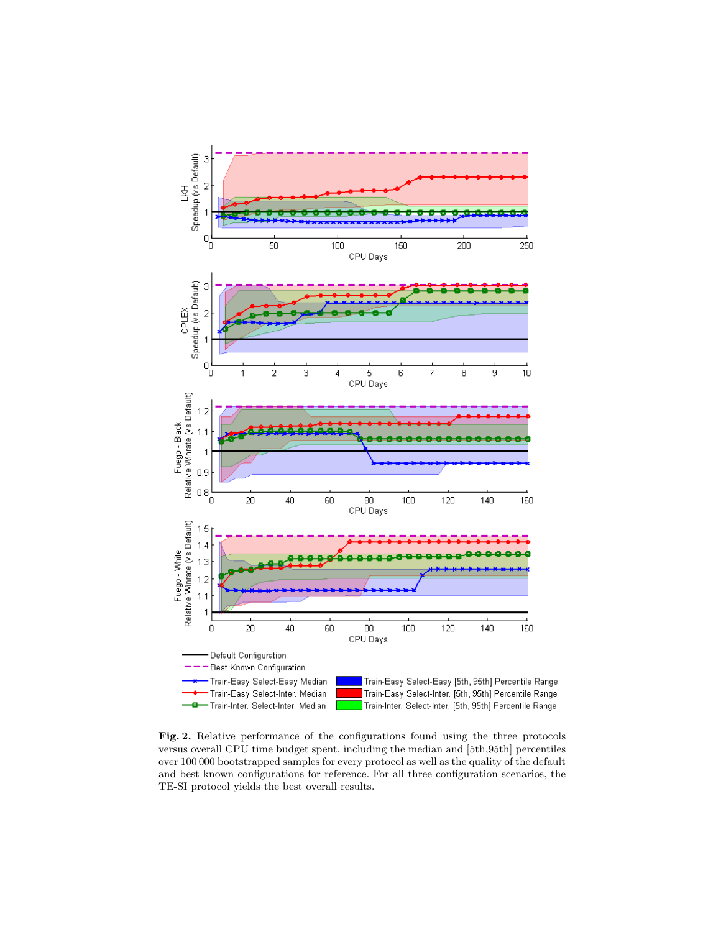

Fig. 2. Relative performance of the configurations found using the three protocols versus overall CPU time budget spent, including the median and [5th,95th] percentiles over 100 000 bootstrapped samples for every protocol as well as the quality of the default and best known configurations for reference. For all three configuration scenarios, the TE-SI protocol yields the best overall results.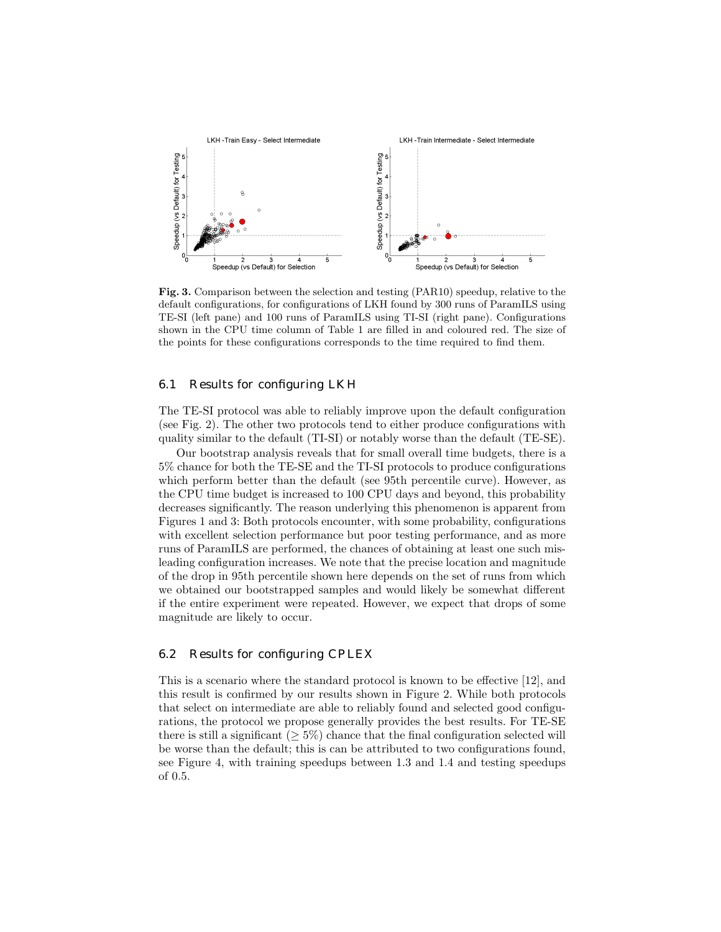

Fig. 3. Comparison between the selection and testing (PAR10) speedup, relative to the default configurations, for configurations of LKH found by 300 runs of ParamILS using TE-SI (left pane) and 100 runs of ParamILS using TI-SI (right pane). Configurations shown in the CPU time column of Table 1 are filled in and coloured red. The size of the points for these configurations corresponds to the time required to find them.

#### 6.1 Results for con guring LKH

The TE-SI protocol was able to reliably improve upon the default configuration (see Fig. 2). The other two protocols tend to either produce configurations with quality similar to the default (TI-SI) or notably worse than the default (TE-SE).

Our bootstrap analysis reveals that for small overall time budgets, there is a 5% chance for both the TE-SE and the TI-SI protocols to produce configurations which perform better than the default (see 95th percentile curve). However, as the CPU time budget is increased to 100 CPU days and beyond, this probability decreases significantly. The reason underlying this phenomenon is apparent from Figures 1 and 3: Both protocols encounter, with some probability, configurations with excellent selection performance but poor testing performance, and as more runs of ParamILS are performed, the chances of obtaining at least one such misleading configuration increases. We note that the precise location and magnitude of the drop in 95th percentile shown here depends on the set of runs from which we obtained our bootstrapped samples and would likely be somewhat different if the entire experiment were repeated. However, we expect that drops of some magnitude are likely to occur.

#### 6.2 Results for con guring CPLEX

This is a scenario where the standard protocol is known to be effective [12], and this result is confirmed by our results shown in Figure 2. While both protocols that select on intermediate are able to reliably found and selected good configurations, the protocol we propose generally provides the best results. For TE-SE there is still a significant ( $\geq$  5%) chance that the final configuration selected will be worse than the default; this is can be attributed to two configurations found, see Figure 4, with training speedups between 1.3 and 1.4 and testing speedups of 0.5.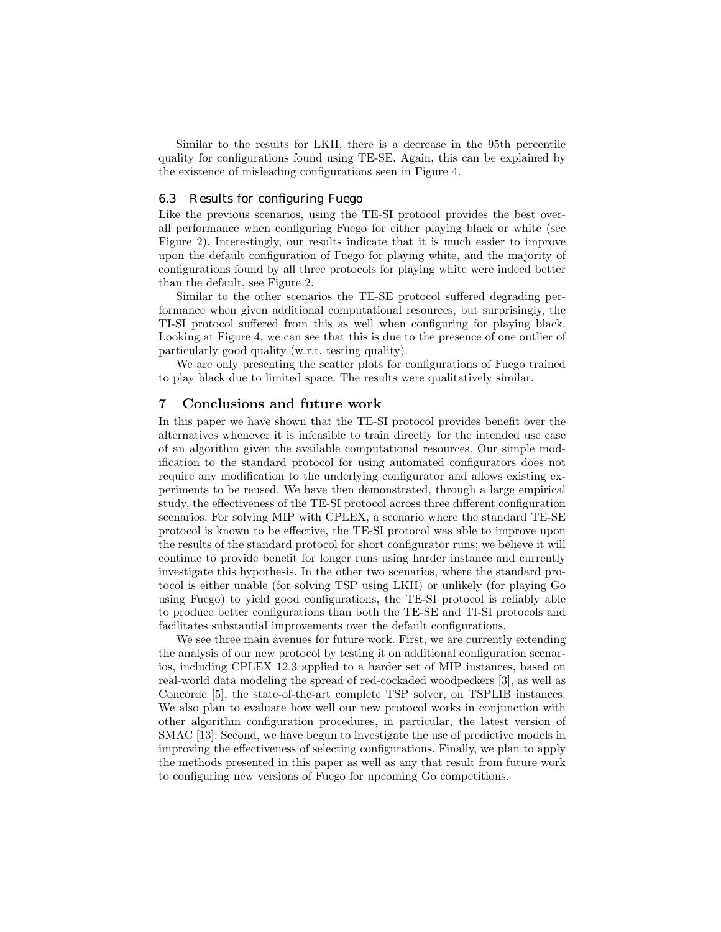Similar to the results for LKH, there is a decrease in the 95th percentile quality for configurations found using TE-SE. Again, this can be explained by the existence of misleading configurations seen in Figure 4.

#### 6.3 Results for con guring Fuego

Like the previous scenarios, using the TE-SI protocol provides the best overall performance when configuring Fuego for either playing black or white (see Figure 2). Interestingly, our results indicate that it is much easier to improve upon the default configuration of Fuego for playing white, and the majority of configurations found by all three protocols for playing white were indeed better than the default, see Figure 2.

Similar to the other scenarios the TE-SE protocol suffered degrading performance when given additional computational resources, but surprisingly, the TI-SI protocol suffered from this as well when configuring for playing black. Looking at Figure 4, we can see that this is due to the presence of one outlier of particularly good quality (w.r.t. testing quality).

We are only presenting the scatter plots for configurations of Fuego trained to play black due to limited space. The results were qualitatively similar.

#### 7 Conclusions and future work

In this paper we have shown that the TE-SI protocol provides benefit over the alternatives whenever it is infeasible to train directly for the intended use case of an algorithm given the available computational resources. Our simple modification to the standard protocol for using automated configurators does not require any modification to the underlying configurator and allows existing experiments to be reused. We have then demonstrated, through a large empirical study, the effectiveness of the TE-SI protocol across three different configuration scenarios. For solving MIP with CPLEX, a scenario where the standard TE-SE protocol is known to be effective, the TE-SI protocol was able to improve upon the results of the standard protocol for short configurator runs; we believe it will continue to provide benefit for longer runs using harder instance and currently investigate this hypothesis. In the other two scenarios, where the standard protocol is either unable (for solving TSP using LKH) or unlikely (for playing Go using Fuego) to yield good configurations, the TE-SI protocol is reliably able to produce better configurations than both the TE-SE and TI-SI protocols and facilitates substantial improvements over the default configurations.

We see three main avenues for future work. First, we are currently extending the analysis of our new protocol by testing it on additional configuration scenarios, including CPLEX 12.3 applied to a harder set of MIP instances, based on real-world data modeling the spread of red-cockaded woodpeckers [3], as well as Concorde [5], the state-of-the-art complete TSP solver, on TSPLIB instances. We also plan to evaluate how well our new protocol works in conjunction with other algorithm configuration procedures, in particular, the latest version of SMAC [13]. Second, we have begun to investigate the use of predictive models in improving the effectiveness of selecting configurations. Finally, we plan to apply the methods presented in this paper as well as any that result from future work to configuring new versions of Fuego for upcoming Go competitions.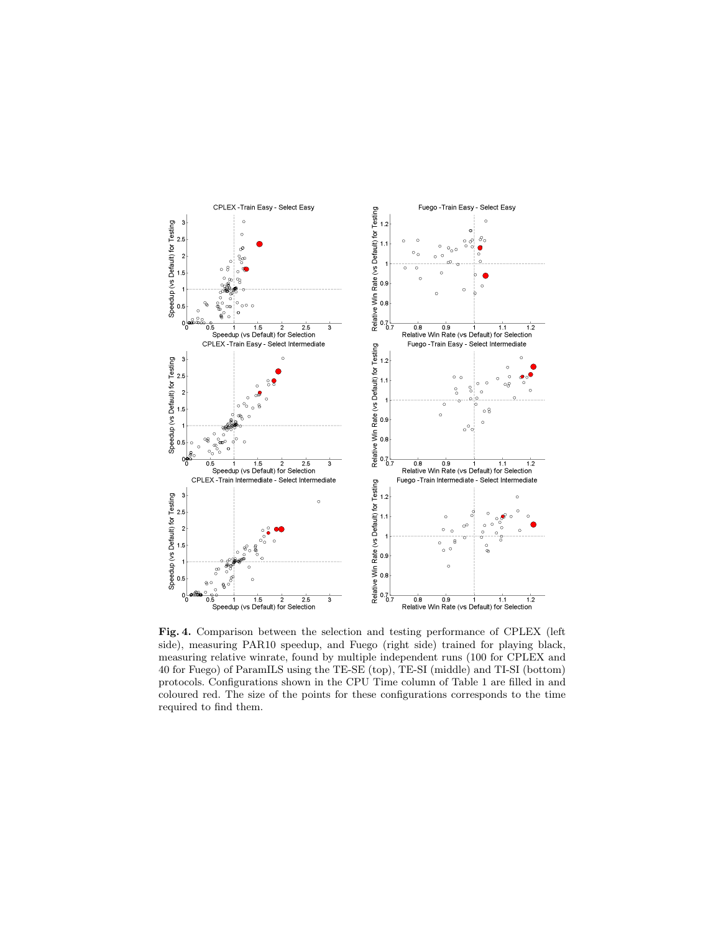

Fig. 4. Comparison between the selection and testing performance of CPLEX (left side), measuring PAR10 speedup, and Fuego (right side) trained for playing black, measuring relative winrate, found by multiple independent runs (100 for CPLEX and 40 for Fuego) of ParamILS using the TE-SE (top), TE-SI (middle) and TI-SI (bottom) protocols. Configurations shown in the CPU Time column of Table 1 are filled in and coloured red. The size of the points for these configurations corresponds to the time required to find them.